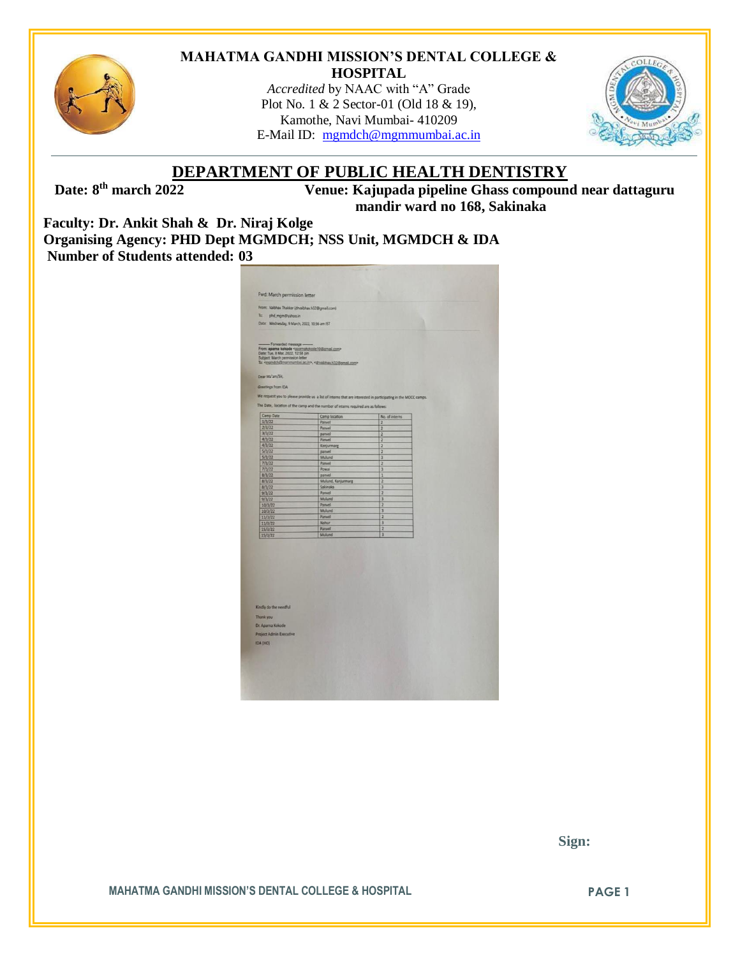

#### **MAHATMA GANDHI MISSION'S DENTAL COLLEGE & HOSPITAL**

*Accredited* by NAAC with "A" Grade Plot No. 1 & 2 Sector-01 (Old 18 & 19), Kamothe, Navi Mumbai- 410209 E-Mail ID: [mgmdch@mgmmumbai.ac.in](mailto:mgmdch@mgmmumbai.ac.in)



# **DEPARTMENT OF PUBLIC HEALTH DENTISTRY**

Date: 8<sup>th</sup> march 2022

**th march 2022 Venue: Kajupada pipeline Ghass compound near dattaguru mandir ward no 168, Sakinaka**

**Faculty: Dr. Ankit Shah & Dr. Niraj Kolge Organising Agency: PHD Dept MGMDCH; NSS Unit, MGMDCH & IDA Number of Students attended: 03**

| Fwd: March permission letter                                              |                                                                                                               |                              |   |  |
|---------------------------------------------------------------------------|---------------------------------------------------------------------------------------------------------------|------------------------------|---|--|
| From: Valbhav Thakkar (drvalbhav.h32@gmail.com)                           |                                                                                                               |                              |   |  |
| To: phd_mgm@yahoo.in                                                      |                                                                                                               |                              |   |  |
| Date: Wednesday, 9 March, 2022, 10:36 am IST                              |                                                                                                               |                              | ٦ |  |
|                                                                           |                                                                                                               |                              |   |  |
| - Forwarded message -                                                     |                                                                                                               |                              |   |  |
| From: aparna kokode <goarnakokode10@gmail.com></goarnakokode10@gmail.com> |                                                                                                               |                              |   |  |
| Date: Tue, 8 Mar, 2022, 12:58 pm<br>Subject: March permission letter      |                                                                                                               |                              |   |  |
|                                                                           | To: <mgmdch@mgmmumbai.ac.in>, <dryabhay.h32@gmail.com></dryabhay.h32@gmail.com></mgmdch@mgmmumbai.ac.in>      |                              |   |  |
|                                                                           |                                                                                                               |                              |   |  |
| Dear Ma'am/Sir,                                                           |                                                                                                               |                              |   |  |
|                                                                           |                                                                                                               |                              |   |  |
| Greetings from IDA                                                        |                                                                                                               |                              |   |  |
|                                                                           | We request you to please provide us a list of interns that are interested in participating in the MOCC camps. |                              |   |  |
|                                                                           |                                                                                                               |                              |   |  |
|                                                                           | The Date, location of the camp and the number of interns required are as follows:                             |                              |   |  |
| Camp Date                                                                 | Camp location                                                                                                 | No. of interns               |   |  |
| 1/3/22                                                                    | Panvel                                                                                                        | $\overline{c}$               |   |  |
| 2/3/22                                                                    | Panvel                                                                                                        | 2                            |   |  |
| 3/3/22                                                                    | panvel                                                                                                        | 2                            |   |  |
| 4/3/22                                                                    | Panvel                                                                                                        | $\overline{2}$               |   |  |
| 4/3/22                                                                    | Kanjurmarg                                                                                                    | $\overline{z}$               |   |  |
| 5/3/22<br>5/3/22                                                          | panvel<br>Mulund                                                                                              | $\overline{z}$               |   |  |
| 7/3/22                                                                    | Panvel                                                                                                        | $\overline{\mathbf{3}}$<br>2 |   |  |
| 7/3/22                                                                    | Powai                                                                                                         | 3                            |   |  |
| 8/3/22                                                                    | panvel                                                                                                        | 1                            |   |  |
| 8/3/22                                                                    | Mulund, Kanjurmarg                                                                                            | $\overline{2}$               |   |  |
| 8/3/22                                                                    | Sakinaka                                                                                                      | 3                            |   |  |
| 9/3/22                                                                    | Panvel                                                                                                        | $\overline{z}$               |   |  |
| 9/3/22                                                                    | Mulund                                                                                                        | 3                            |   |  |
| 10/3/22                                                                   | Panvel                                                                                                        | 2                            |   |  |
| 10/3/22                                                                   | Mulund                                                                                                        | 3                            |   |  |
| 11/3/22                                                                   | Panvel                                                                                                        | $\overline{2}$<br>3          |   |  |
| 11/3/22<br>15/3/22                                                        | Nahur<br>Panvel                                                                                               | $\overline{a}$               |   |  |
| 15/3/22                                                                   | Mulund                                                                                                        | $\overline{3}$               |   |  |
|                                                                           |                                                                                                               |                              |   |  |
|                                                                           |                                                                                                               |                              |   |  |
|                                                                           |                                                                                                               |                              |   |  |
|                                                                           |                                                                                                               |                              |   |  |
|                                                                           |                                                                                                               |                              |   |  |
|                                                                           |                                                                                                               |                              |   |  |
|                                                                           |                                                                                                               |                              |   |  |
|                                                                           |                                                                                                               |                              |   |  |
|                                                                           |                                                                                                               |                              |   |  |
|                                                                           |                                                                                                               |                              |   |  |
|                                                                           |                                                                                                               |                              |   |  |
| Kindly do the needful                                                     |                                                                                                               |                              |   |  |
| Thank you                                                                 |                                                                                                               |                              |   |  |
|                                                                           |                                                                                                               |                              |   |  |
| Dr. Aparna Kokode                                                         |                                                                                                               |                              |   |  |
|                                                                           |                                                                                                               |                              |   |  |
| <b>Project Admin Executive</b>                                            |                                                                                                               |                              |   |  |
|                                                                           |                                                                                                               |                              |   |  |
| IDA (HO)                                                                  |                                                                                                               |                              |   |  |
|                                                                           |                                                                                                               |                              |   |  |
|                                                                           |                                                                                                               |                              |   |  |
|                                                                           |                                                                                                               |                              |   |  |
|                                                                           |                                                                                                               |                              |   |  |

 **Sign:**

**MAHATMA GANDHI MISSION'S DENTAL COLLEGE & HOSPITAL PAGE 1**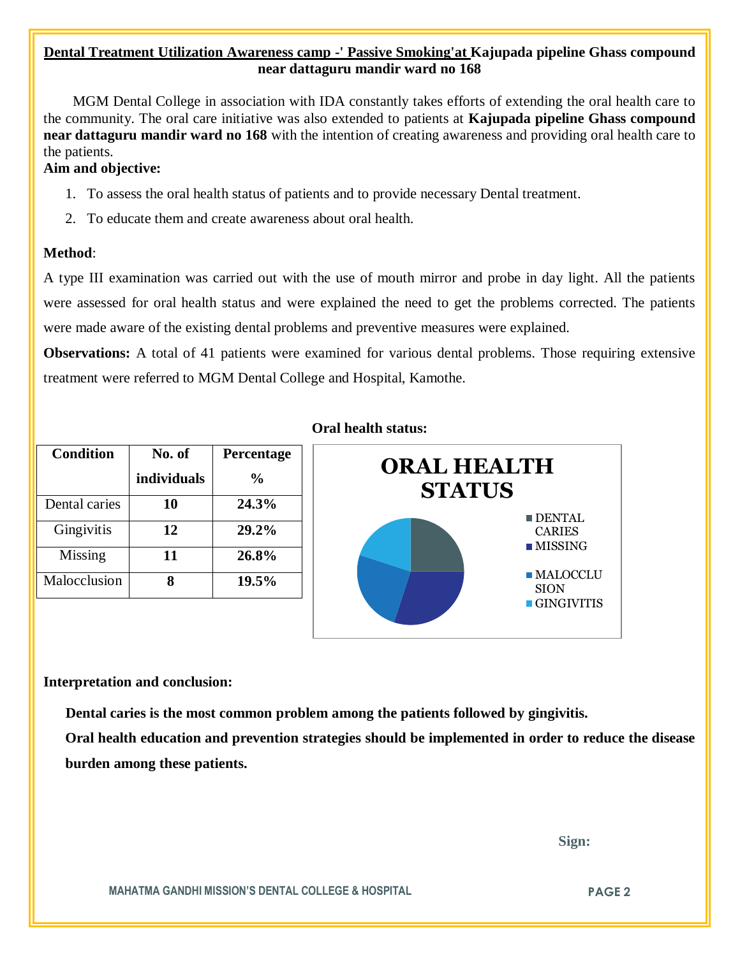## **Dental Treatment Utilization Awareness camp -' Passive Smoking'at Kajupada pipeline Ghass compound near dattaguru mandir ward no 168**

 MGM Dental College in association with IDA constantly takes efforts of extending the oral health care to the community. The oral care initiative was also extended to patients at **Kajupada pipeline Ghass compound near dattaguru mandir ward no 168** with the intention of creating awareness and providing oral health care to the patients.

### **Aim and objective:**

- 1. To assess the oral health status of patients and to provide necessary Dental treatment.
- 2. To educate them and create awareness about oral health.

#### **Method**:

A type III examination was carried out with the use of mouth mirror and probe in day light. All the patients were assessed for oral health status and were explained the need to get the problems corrected. The patients were made aware of the existing dental problems and preventive measures were explained.

**Observations:** A total of 41 patients were examined for various dental problems. Those requiring extensive treatment were referred to MGM Dental College and Hospital, Kamothe.

| <b>Condition</b> | No. of      | Percentage     |
|------------------|-------------|----------------|
|                  | individuals | $\frac{6}{10}$ |
| Dental caries    | 10          | 24.3%          |
| Gingivitis       | 12          | 29.2%          |
| Missing          | 11          | 26.8%          |
| Malocclusion     |             | $19.5\%$       |

#### **Oral health status:**



#### **Interpretation and conclusion:**

 **Dental caries is the most common problem among the patients followed by gingivitis.**

**Oral health education and prevention strategies should be implemented in order to reduce the disease burden among these patients.**

 **Sign:**

**MAHATMA GANDHI MISSION'S DENTAL COLLEGE & HOSPITAL PAGE 2**